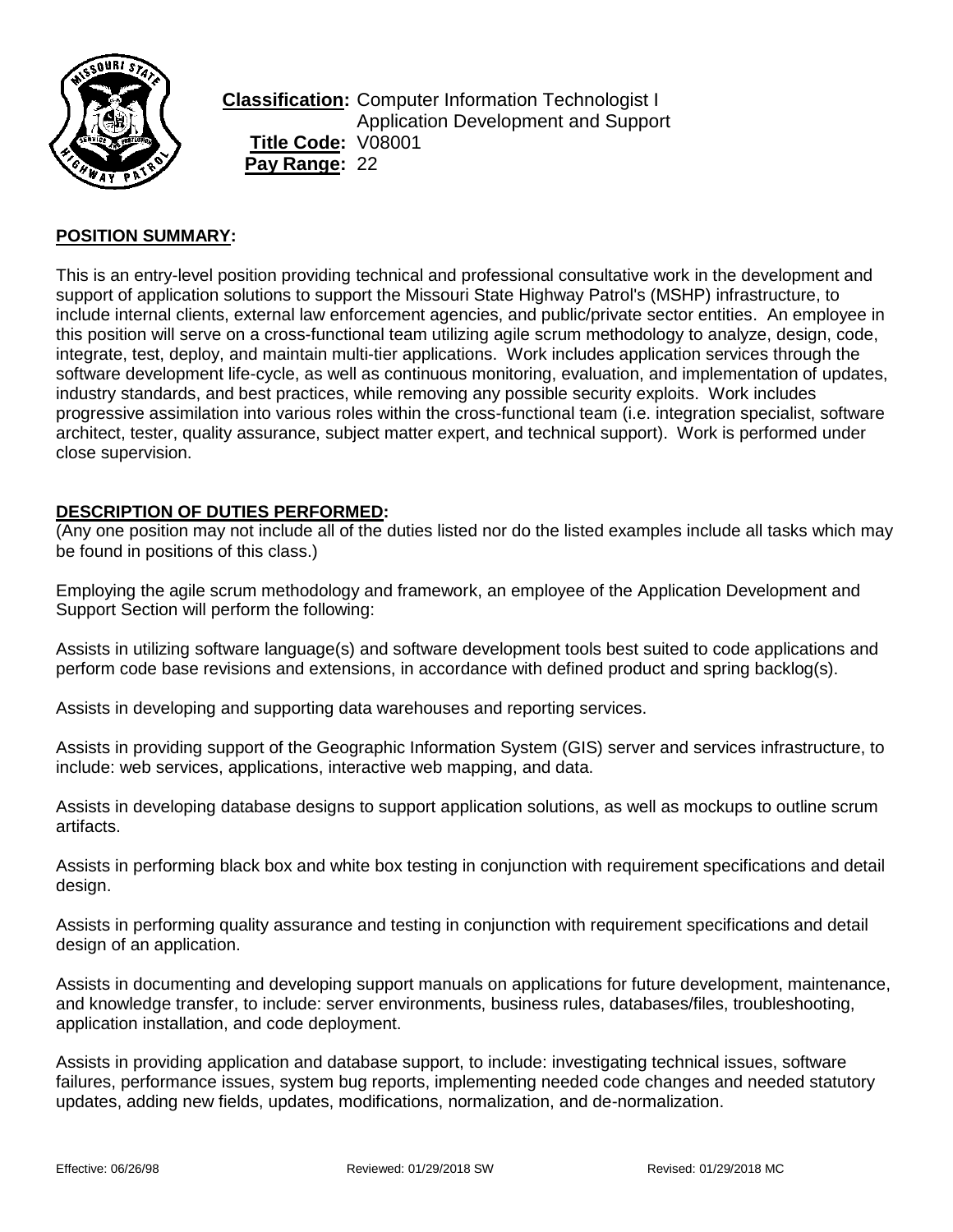

**Classification:** Computer Information Technologist I Application Development and Support **Title Code:** V08001 **Pay Range:** 22

# **POSITION SUMMARY:**

This is an entry-level position providing technical and professional consultative work in the development and support of application solutions to support the Missouri State Highway Patrol's (MSHP) infrastructure, to include internal clients, external law enforcement agencies, and public/private sector entities. An employee in this position will serve on a cross-functional team utilizing agile scrum methodology to analyze, design, code, integrate, test, deploy, and maintain multi-tier applications. Work includes application services through the software development life-cycle, as well as continuous monitoring, evaluation, and implementation of updates, industry standards, and best practices, while removing any possible security exploits. Work includes progressive assimilation into various roles within the cross-functional team (i.e. integration specialist, software architect, tester, quality assurance, subject matter expert, and technical support). Work is performed under close supervision.

#### **DESCRIPTION OF DUTIES PERFORMED:**

(Any one position may not include all of the duties listed nor do the listed examples include all tasks which may be found in positions of this class.)

Employing the agile scrum methodology and framework, an employee of the Application Development and Support Section will perform the following:

Assists in utilizing software language(s) and software development tools best suited to code applications and perform code base revisions and extensions, in accordance with defined product and spring backlog(s).

Assists in developing and supporting data warehouses and reporting services.

Assists in providing support of the Geographic Information System (GIS) server and services infrastructure, to include: web services, applications, interactive web mapping, and data.

Assists in developing database designs to support application solutions, as well as mockups to outline scrum artifacts.

Assists in performing black box and white box testing in conjunction with requirement specifications and detail design.

Assists in performing quality assurance and testing in conjunction with requirement specifications and detail design of an application.

Assists in documenting and developing support manuals on applications for future development, maintenance, and knowledge transfer, to include: server environments, business rules, databases/files, troubleshooting, application installation, and code deployment.

Assists in providing application and database support, to include: investigating technical issues, software failures, performance issues, system bug reports, implementing needed code changes and needed statutory updates, adding new fields, updates, modifications, normalization, and de-normalization.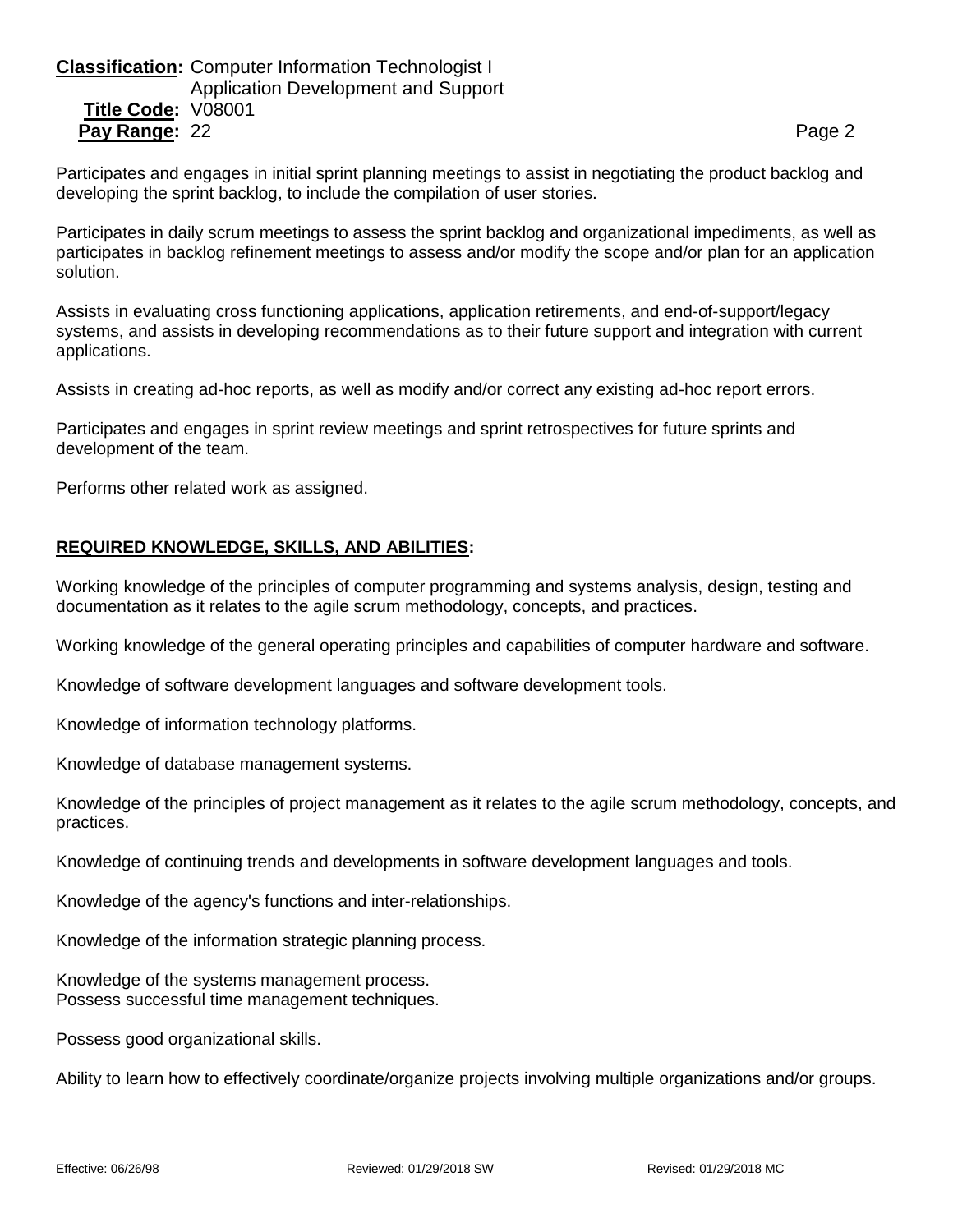# **Classification:** Computer Information Technologist I Application Development and Support **Title Code:** V08001 **Pay Range:** 22 **Page 2 Page 2 Page 2 Page 2 Page 2**

Participates and engages in initial sprint planning meetings to assist in negotiating the product backlog and developing the sprint backlog, to include the compilation of user stories.

Participates in daily scrum meetings to assess the sprint backlog and organizational impediments, as well as participates in backlog refinement meetings to assess and/or modify the scope and/or plan for an application solution.

Assists in evaluating cross functioning applications, application retirements, and end-of-support/legacy systems, and assists in developing recommendations as to their future support and integration with current applications.

Assists in creating ad-hoc reports, as well as modify and/or correct any existing ad-hoc report errors.

Participates and engages in sprint review meetings and sprint retrospectives for future sprints and development of the team.

Performs other related work as assigned.

# **REQUIRED KNOWLEDGE, SKILLS, AND ABILITIES:**

Working knowledge of the principles of computer programming and systems analysis, design, testing and documentation as it relates to the agile scrum methodology, concepts, and practices.

Working knowledge of the general operating principles and capabilities of computer hardware and software.

Knowledge of software development languages and software development tools.

Knowledge of information technology platforms.

Knowledge of database management systems.

Knowledge of the principles of project management as it relates to the agile scrum methodology, concepts, and practices.

Knowledge of continuing trends and developments in software development languages and tools.

Knowledge of the agency's functions and inter-relationships.

Knowledge of the information strategic planning process.

Knowledge of the systems management process. Possess successful time management techniques.

Possess good organizational skills.

Ability to learn how to effectively coordinate/organize projects involving multiple organizations and/or groups.